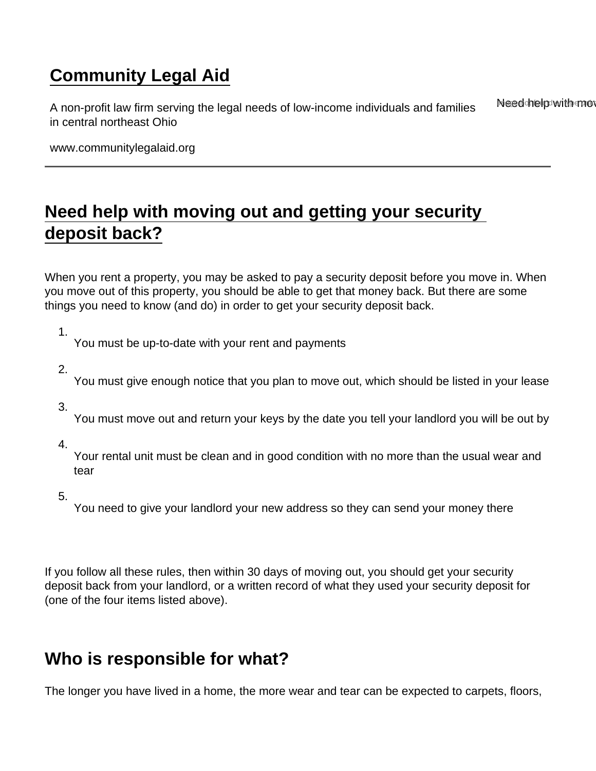# [Community Legal Aid](https://www.communitylegalaid.org/)

A non-profit law firm serving the legal needs of low-income individuals and families in central northeast Ohio Need help with mo

www.communitylegalaid.org

# [Need help with moving out and getting your security](https://www.communitylegalaid.org/securitydeposits)  [deposit back?](https://www.communitylegalaid.org/securitydeposits)

When you rent a property, you may be asked to pay a security deposit before you move in. When you move out of this property, you should be able to get that money back. But there are some things you need to know (and do) in order to get your security deposit back.

1.

You must be up-to-date with your rent and payments

2.

You must give enough notice that you plan to move out, which should be listed in your lease

3.

You must move out and return your keys by the date you tell your landlord you will be out by

4.

Your rental unit must be clean and in good condition with no more than the usual wear and tear

5.

You need to give your landlord your new address so they can send your money there

If you follow all these rules, then within 30 days of moving out, you should get your security deposit back from your landlord, or a written record of what they used your security deposit for (one of the four items listed above).

# Who is responsible for what?

The longer you have lived in a home, the more wear and tear can be expected to carpets, floors,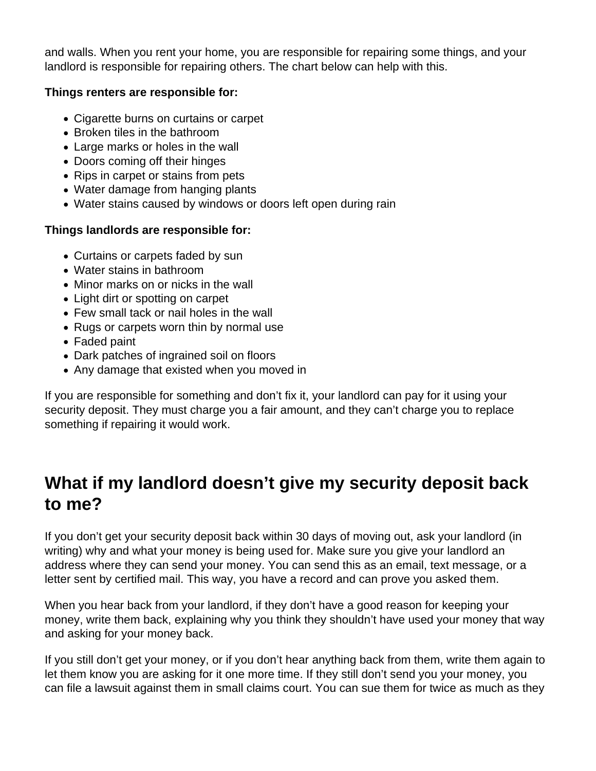and walls. When you rent your home, you are responsible for repairing some things, and your landlord is responsible for repairing others. The chart below can help with this.

### **Things renters are responsible for:**

- Cigarette burns on curtains or carpet
- Broken tiles in the bathroom
- Large marks or holes in the wall
- Doors coming off their hinges
- Rips in carpet or stains from pets
- Water damage from hanging plants
- Water stains caused by windows or doors left open during rain

### **Things landlords are responsible for:**

- Curtains or carpets faded by sun
- Water stains in bathroom
- Minor marks on or nicks in the wall
- Light dirt or spotting on carpet
- Few small tack or nail holes in the wall
- Rugs or carpets worn thin by normal use
- Faded paint
- Dark patches of ingrained soil on floors
- Any damage that existed when you moved in

If you are responsible for something and don't fix it, your landlord can pay for it using your security deposit. They must charge you a fair amount, and they can't charge you to replace something if repairing it would work.

## **What if my landlord doesn't give my security deposit back to me?**

If you don't get your security deposit back within 30 days of moving out, ask your landlord (in writing) why and what your money is being used for. Make sure you give your landlord an address where they can send your money. You can send this as an email, text message, or a letter sent by certified mail. This way, you have a record and can prove you asked them.

When you hear back from your landlord, if they don't have a good reason for keeping your money, write them back, explaining why you think they shouldn't have used your money that way and asking for your money back.

If you still don't get your money, or if you don't hear anything back from them, write them again to let them know you are asking for it one more time. If they still don't send you your money, you can file a lawsuit against them in small claims court. You can sue them for twice as much as they